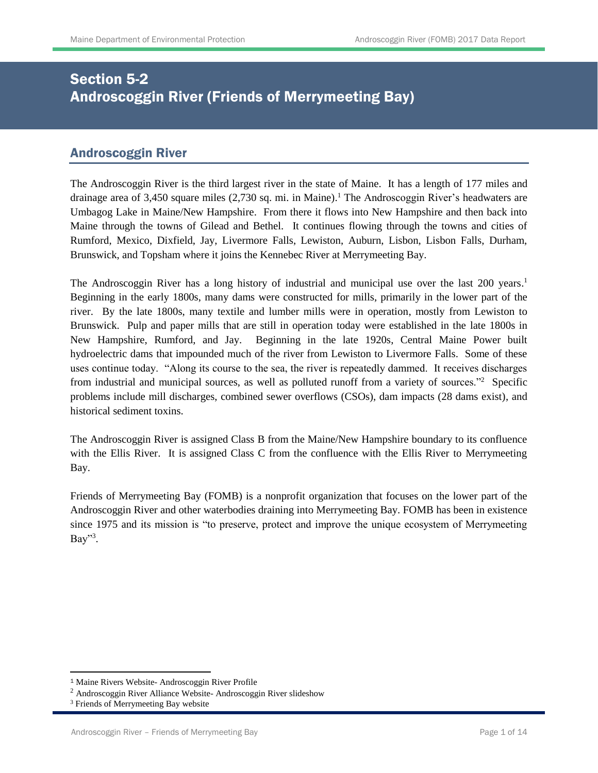# Section 5-2 Androscoggin River (Friends of Merrymeeting Bay)

## Androscoggin River

The Androscoggin River is the third largest river in the state of Maine. It has a length of 177 miles and drainage area of 3,450 square miles (2,730 sq. mi. in Maine). <sup>1</sup> The Androscoggin River's headwaters are Umbagog Lake in Maine/New Hampshire. From there it flows into New Hampshire and then back into Maine through the towns of Gilead and Bethel. It continues flowing through the towns and cities of Rumford, Mexico, Dixfield, Jay, Livermore Falls, Lewiston, Auburn, Lisbon, Lisbon Falls, Durham, Brunswick, and Topsham where it joins the Kennebec River at Merrymeeting Bay.

The Androscoggin River has a long history of industrial and municipal use over the last 200 years.<sup>1</sup> Beginning in the early 1800s, many dams were constructed for mills, primarily in the lower part of the river. By the late 1800s, many textile and lumber mills were in operation, mostly from Lewiston to Brunswick. Pulp and paper mills that are still in operation today were established in the late 1800s in New Hampshire, Rumford, and Jay. Beginning in the late 1920s, Central Maine Power built hydroelectric dams that impounded much of the river from Lewiston to Livermore Falls. Some of these uses continue today. "Along its course to the sea, the river is repeatedly dammed. It receives discharges from industrial and municipal sources, as well as polluted runoff from a variety of sources."<sup>2</sup> Specific problems include mill discharges, combined sewer overflows (CSOs), dam impacts (28 dams exist), and historical sediment toxins.

The Androscoggin River is assigned Class B from the Maine/New Hampshire boundary to its confluence with the Ellis River. It is assigned Class C from the confluence with the Ellis River to Merrymeeting Bay.

Friends of Merrymeeting Bay (FOMB) is a nonprofit organization that focuses on the lower part of the Androscoggin River and other waterbodies draining into Merrymeeting Bay. FOMB has been in existence since 1975 and its mission is "to preserve, protect and improve the unique ecosystem of Merrymeeting Bay"<sup>3</sup>.

 $\overline{a}$ 

<sup>1</sup> Maine Rivers Website- Androscoggin River Profile

<sup>2</sup> Androscoggin River Alliance Website- Androscoggin River slideshow

<sup>&</sup>lt;sup>3</sup> Friends of Merrymeeting Bay website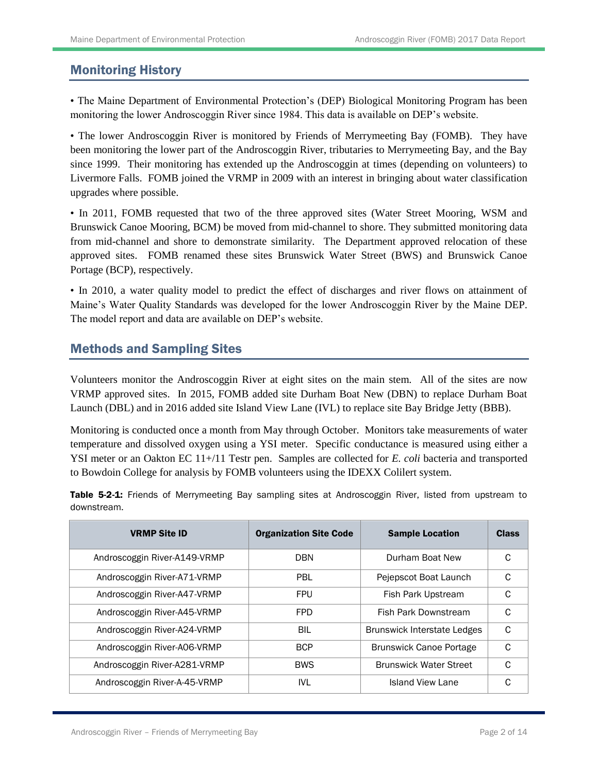# Monitoring History

• The Maine Department of Environmental Protection's (DEP) Biological Monitoring Program has been monitoring the lower Androscoggin River since 1984. This data is available on DEP's website.

• The lower Androscoggin River is monitored by Friends of Merrymeeting Bay (FOMB). They have been monitoring the lower part of the Androscoggin River, tributaries to Merrymeeting Bay, and the Bay since 1999. Their monitoring has extended up the Androscoggin at times (depending on volunteers) to Livermore Falls. FOMB joined the VRMP in 2009 with an interest in bringing about water classification upgrades where possible.

• In 2011, FOMB requested that two of the three approved sites (Water Street Mooring, WSM and Brunswick Canoe Mooring, BCM) be moved from mid-channel to shore. They submitted monitoring data from mid-channel and shore to demonstrate similarity. The Department approved relocation of these approved sites. FOMB renamed these sites Brunswick Water Street (BWS) and Brunswick Canoe Portage (BCP), respectively.

• In 2010, a water quality model to predict the effect of discharges and river flows on attainment of Maine's Water Quality Standards was developed for the lower Androscoggin River by the Maine DEP. The model report and data are available on DEP's website.

## Methods and Sampling Sites

Volunteers monitor the Androscoggin River at eight sites on the main stem. All of the sites are now VRMP approved sites. In 2015, FOMB added site Durham Boat New (DBN) to replace Durham Boat Launch (DBL) and in 2016 added site Island View Lane (IVL) to replace site Bay Bridge Jetty (BBB).

Monitoring is conducted once a month from May through October. Monitors take measurements of water temperature and dissolved oxygen using a YSI meter. Specific conductance is measured using either a YSI meter or an Oakton EC 11+/11 Testr pen. Samples are collected for *E. coli* bacteria and transported to Bowdoin College for analysis by FOMB volunteers using the IDEXX Colilert system.

Table 5-2-1: Friends of Merrymeeting Bay sampling sites at Androscoggin River, listed from upstream to downstream.

| <b>VRMP Site ID</b>          | <b>Organization Site Code</b> | <b>Sample Location</b>             | <b>Class</b> |
|------------------------------|-------------------------------|------------------------------------|--------------|
| Androscoggin River-A149-VRMP | <b>DBN</b>                    | Durham Boat New                    | C            |
| Androscoggin River-A71-VRMP  | PBL                           | Pejepscot Boat Launch              | C            |
| Androscoggin River-A47-VRMP  | <b>FPU</b>                    | Fish Park Upstream                 | C            |
| Androscoggin River-A45-VRMP  | <b>FPD</b>                    | <b>Fish Park Downstream</b>        | C            |
| Androscoggin River-A24-VRMP  | <b>BIL</b>                    | <b>Brunswick Interstate Ledges</b> | C            |
| Androscoggin River-A06-VRMP  | <b>BCP</b>                    | <b>Brunswick Canoe Portage</b>     | C            |
| Androscoggin River-A281-VRMP | <b>BWS</b>                    | <b>Brunswick Water Street</b>      | C            |
| Androscoggin River-A-45-VRMP | IVL                           | Island View Lane                   | C            |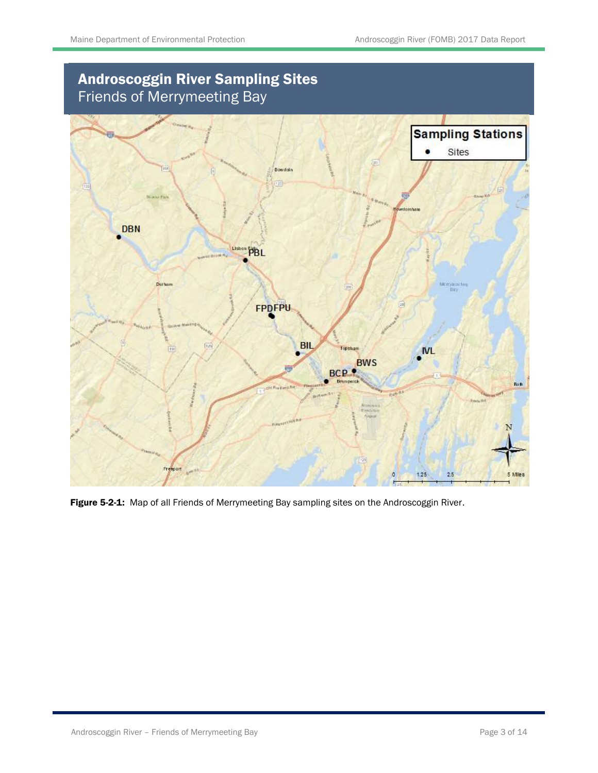# Androscoggin River Sampling Sites Friends of Merrymeeting Bay



Figure 5-2-1: Map of all Friends of Merrymeeting Bay sampling sites on the Androscoggin River.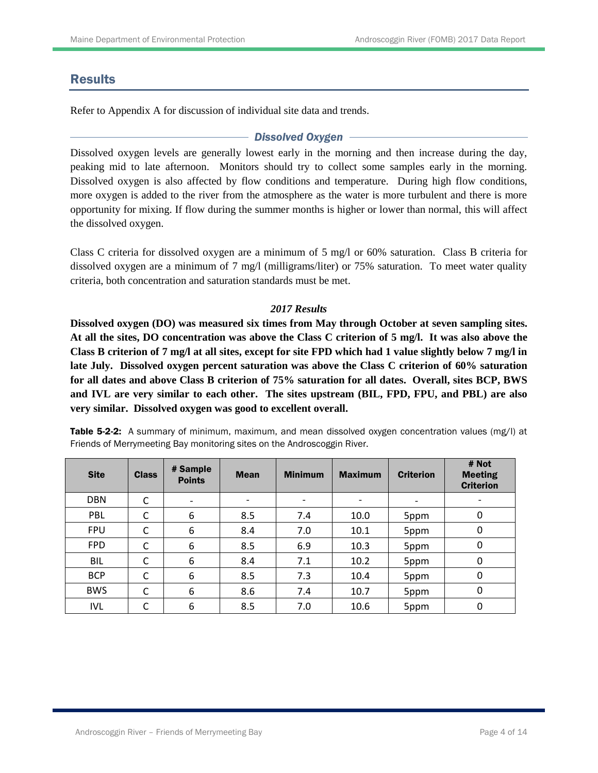## Results

Refer to Appendix A for discussion of individual site data and trends.

### *Dissolved Oxygen*

Dissolved oxygen levels are generally lowest early in the morning and then increase during the day, peaking mid to late afternoon. Monitors should try to collect some samples early in the morning. Dissolved oxygen is also affected by flow conditions and temperature. During high flow conditions, more oxygen is added to the river from the atmosphere as the water is more turbulent and there is more opportunity for mixing. If flow during the summer months is higher or lower than normal, this will affect the dissolved oxygen.

Class C criteria for dissolved oxygen are a minimum of 5 mg/l or 60% saturation. Class B criteria for dissolved oxygen are a minimum of 7 mg/l (milligrams/liter) or 75% saturation. To meet water quality criteria, both concentration and saturation standards must be met.

### *2017 Results*

**Dissolved oxygen (DO) was measured six times from May through October at seven sampling sites. At all the sites, DO concentration was above the Class C criterion of 5 mg/l. It was also above the Class B criterion of 7 mg/l at all sites, except for site FPD which had 1 value slightly below 7 mg/l in late July. Dissolved oxygen percent saturation was above the Class C criterion of 60% saturation for all dates and above Class B criterion of 75% saturation for all dates. Overall, sites BCP, BWS and IVL are very similar to each other. The sites upstream (BIL, FPD, FPU, and PBL) are also very similar. Dissolved oxygen was good to excellent overall.**

| <b>Site</b> | <b>Class</b> | # Sample<br><b>Points</b> | <b>Mean</b> | <b>Minimum</b>               | <b>Maximum</b> | <b>Criterion</b> | # Not<br><b>Meeting</b><br><b>Criterion</b> |
|-------------|--------------|---------------------------|-------------|------------------------------|----------------|------------------|---------------------------------------------|
| <b>DBN</b>  | С            | $\overline{\phantom{0}}$  | -           | $\qquad \qquad \blacksquare$ | $\overline{a}$ |                  |                                             |
| PBL         | C            | 6                         | 8.5         | 7.4                          | 10.0           | 5ppm             | 0                                           |
| <b>FPU</b>  | C            | 6                         | 8.4         | 7.0                          | 10.1           | 5ppm             | 0                                           |
| <b>FPD</b>  | C            | 6                         | 8.5         | 6.9                          | 10.3           | 5ppm             | 0                                           |
| <b>BIL</b>  | C            | 6                         | 8.4         | 7.1                          | 10.2           | 5ppm             | $\mathbf{0}$                                |
| <b>BCP</b>  | C            | 6                         | 8.5         | 7.3                          | 10.4           | 5ppm             | 0                                           |
| <b>BWS</b>  | C            | 6                         | 8.6         | 7.4                          | 10.7           | 5ppm             | 0                                           |
| <b>IVL</b>  | С            | 6                         | 8.5         | 7.0                          | 10.6           | 5ppm             | 0                                           |

Table 5-2-2: A summary of minimum, maximum, and mean dissolved oxygen concentration values (mg/l) at Friends of Merrymeeting Bay monitoring sites on the Androscoggin River.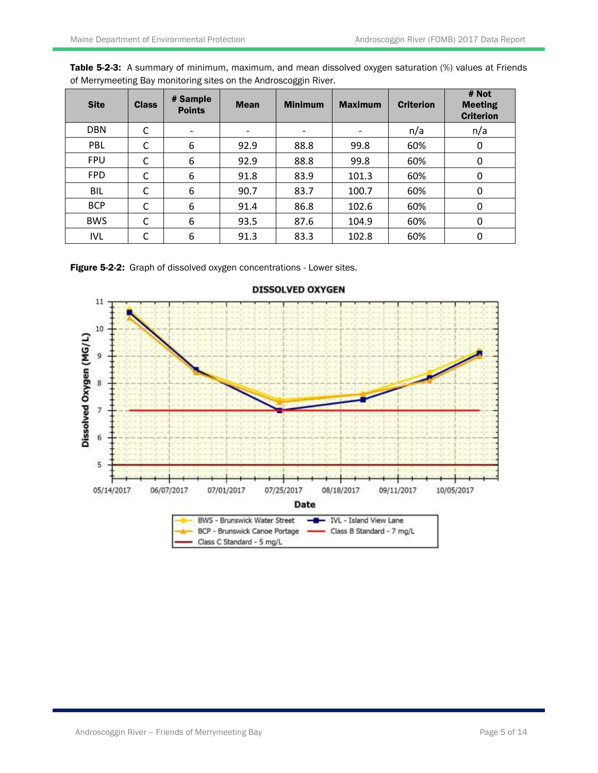| <b>Site</b> | <b>Class</b> | # Sample<br><b>Points</b> | <b>Mean</b>              | <b>Minimum</b> | <b>Maximum</b> | <b>Criterion</b> | # Not<br><b>Meeting</b><br><b>Criterion</b> |
|-------------|--------------|---------------------------|--------------------------|----------------|----------------|------------------|---------------------------------------------|
| <b>DBN</b>  | С            |                           | $\overline{\phantom{a}}$ | n/a            |                |                  | n/a                                         |
| PBL         | C            | 6                         | 92.9                     | 88.8           | 99.8           | 60%              | 0                                           |
| <b>FPU</b>  | C            | 6                         | 92.9                     | 88.8           | 99.8           | 60%              | 0                                           |
| <b>FPD</b>  | C            | 6                         | 91.8                     | 83.9           | 101.3          | 60%              | 0                                           |
| BIL         | C            | 6                         | 90.7                     | 83.7           | 100.7          | 60%              | 0                                           |
| <b>BCP</b>  | C            | 6                         | 91.4                     | 86.8           | 102.6          | 60%              | 0                                           |
| <b>BWS</b>  | C            | 6                         | 93.5                     | 87.6           | 104.9          | 60%              | 0                                           |
| <b>IVL</b>  | С            | 6                         | 91.3                     | 83.3           | 102.8          | 60%              | 0                                           |

Table 5-2-3: A summary of minimum, maximum, and mean dissolved oxygen saturation (%) values at Friends of Merrymeeting Bay monitoring sites on the Androscoggin River.

Figure 5-2-2: Graph of dissolved oxygen concentrations - Lower sites.



**DISSOLVED OXYGEN**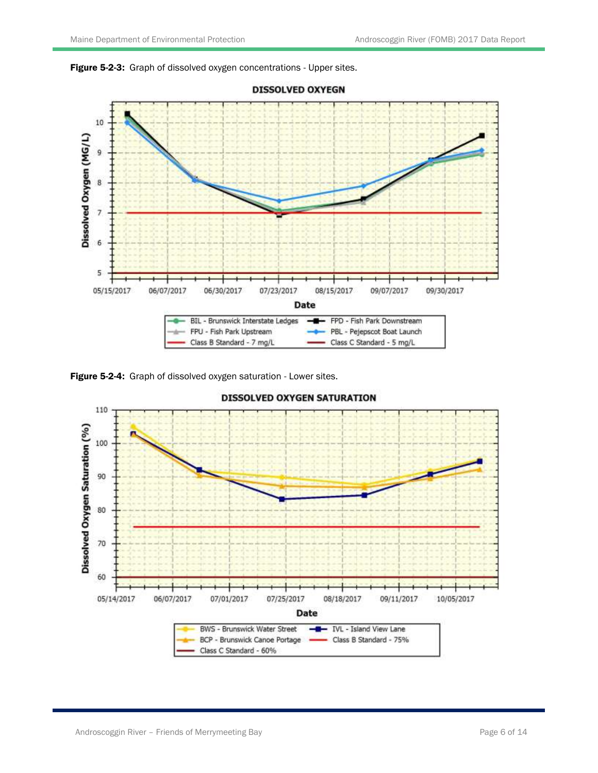



Figure 5-2-4: Graph of dissolved oxygen saturation - Lower sites.

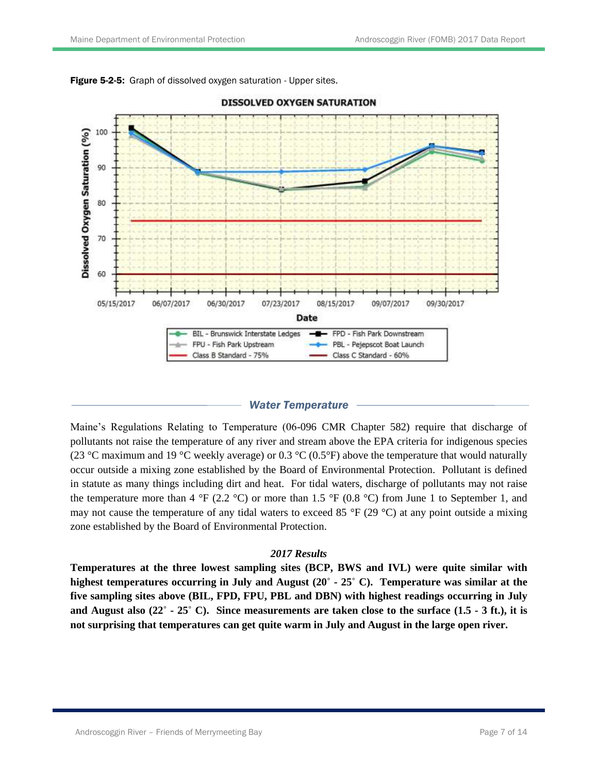



## **DISSOLVED OXYGEN SATURATION**

#### *Water Temperature*

Maine's Regulations Relating to Temperature (06-096 CMR Chapter 582) require that discharge of pollutants not raise the temperature of any river and stream above the EPA criteria for indigenous species (23 °C maximum and 19 °C weekly average) or 0.3 °C (0.5°F) above the temperature that would naturally occur outside a mixing zone established by the Board of Environmental Protection. Pollutant is defined in statute as many things including dirt and heat. For tidal waters, discharge of pollutants may not raise the temperature more than 4 °F (2.2 °C) or more than 1.5 °F (0.8 °C) from June 1 to September 1, and may not cause the temperature of any tidal waters to exceed 85  $\degree$ F (29  $\degree$ C) at any point outside a mixing zone established by the Board of Environmental Protection.

### *2017 Results*

**Temperatures at the three lowest sampling sites (BCP, BWS and IVL) were quite similar with highest temperatures occurring in July and August (20˚ - 25˚ C). Temperature was similar at the five sampling sites above (BIL, FPD, FPU, PBL and DBN) with highest readings occurring in July and August also (22˚ - 25˚ C). Since measurements are taken close to the surface (1.5 - 3 ft.), it is not surprising that temperatures can get quite warm in July and August in the large open river.**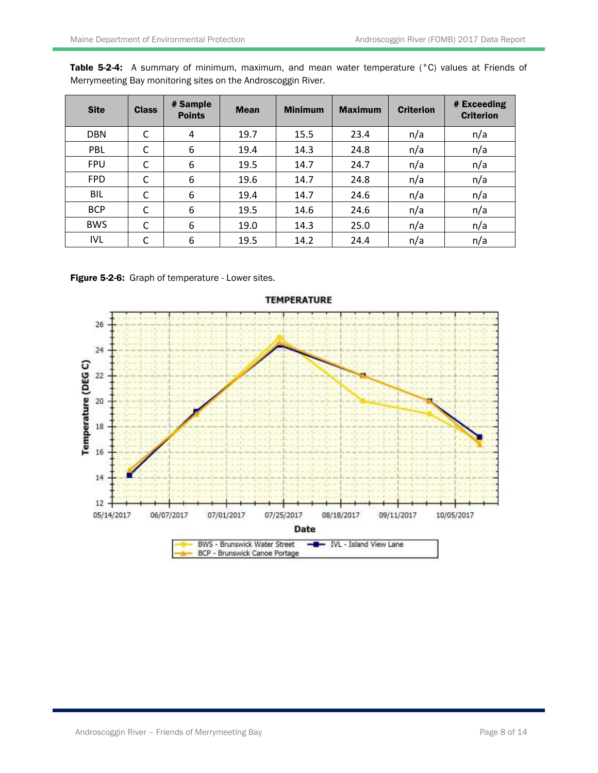| <b>Site</b> | <b>Class</b> | # Sample<br><b>Points</b> | <b>Mean</b> | <b>Minimum</b> | <b>Maximum</b> | <b>Criterion</b> | # Exceeding<br><b>Criterion</b> |
|-------------|--------------|---------------------------|-------------|----------------|----------------|------------------|---------------------------------|
| <b>DBN</b>  | C            | 4                         | 19.7        | 15.5           | 23.4           | n/a              | n/a                             |
| PBL         | С            | 6                         | 19.4        | 14.3           | 24.8           | n/a              | n/a                             |
| <b>FPU</b>  | C            | 6                         | 19.5        | 14.7           | 24.7           | n/a              | n/a                             |
| <b>FPD</b>  | С            | 6                         | 19.6        | 14.7           | 24.8           | n/a              | n/a                             |
| <b>BIL</b>  | C            | 6                         | 19.4        | 14.7           | 24.6           | n/a              | n/a                             |
| <b>BCP</b>  | C            | 6                         | 19.5        | 14.6           | 24.6           | n/a              | n/a                             |
| <b>BWS</b>  | C            | 6                         | 19.0        | 14.3           | 25.0           | n/a              | n/a                             |
| <b>IVL</b>  | C            | 6                         | 19.5        | 14.2           | 24.4           | n/a              | n/a                             |

Table 5-2-4: A summary of minimum, maximum, and mean water temperature (°C) values at Friends of Merrymeeting Bay monitoring sites on the Androscoggin River.

Figure 5-2-6: Graph of temperature - Lower sites.

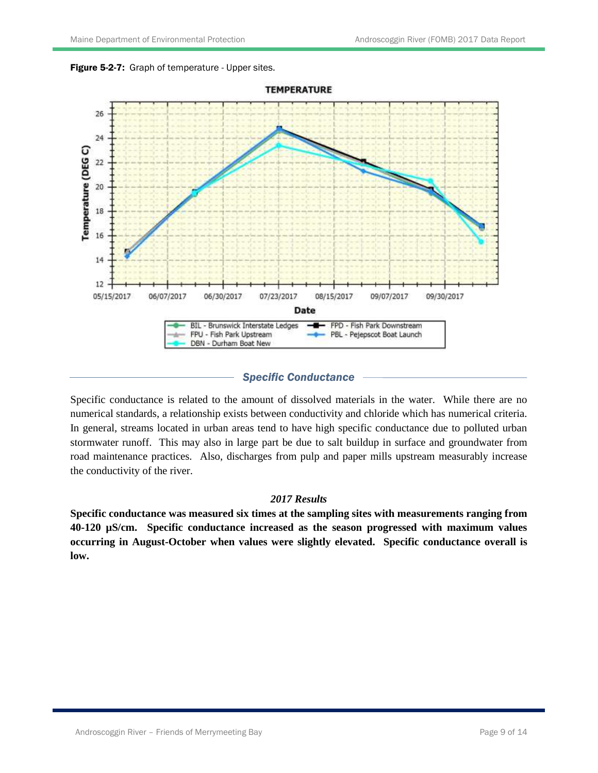



## *Specific Conductance*

Specific conductance is related to the amount of dissolved materials in the water. While there are no numerical standards, a relationship exists between conductivity and chloride which has numerical criteria. In general, streams located in urban areas tend to have high specific conductance due to polluted urban stormwater runoff. This may also in large part be due to salt buildup in surface and groundwater from road maintenance practices. Also, discharges from pulp and paper mills upstream measurably increase the conductivity of the river.

## *2017 Results*

**Specific conductance was measured six times at the sampling sites with measurements ranging from 40-120 µS/cm. Specific conductance increased as the season progressed with maximum values occurring in August-October when values were slightly elevated. Specific conductance overall is low.**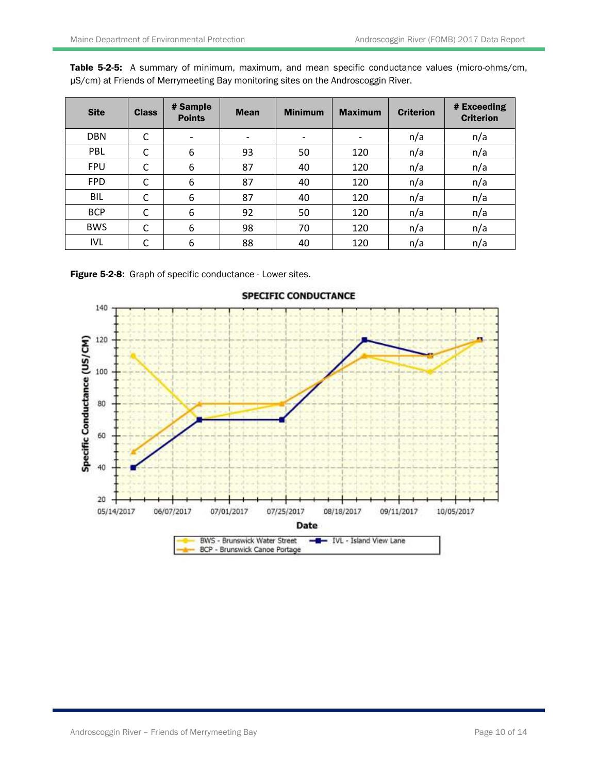| <b>Site</b> | <b>Class</b> | # Sample<br><b>Points</b> | <b>Mean</b> | <b>Minimum</b>           | <b>Maximum</b> | <b>Criterion</b> | # Exceeding<br><b>Criterion</b> |
|-------------|--------------|---------------------------|-------------|--------------------------|----------------|------------------|---------------------------------|
| <b>DBN</b>  | С            | -                         | -           | $\overline{\phantom{a}}$ | -              | n/a              | n/a                             |
| PBL         | С            | 6                         | 93          | 50                       | 120            | n/a              | n/a                             |
| <b>FPU</b>  | С            | 6                         | 87          | 40                       | 120            | n/a              | n/a                             |
| <b>FPD</b>  | C            | 6                         | 87          | 40                       | 120            | n/a              | n/a                             |
| <b>BIL</b>  | C            | 6                         | 87          | 40                       | 120            | n/a              | n/a                             |
| <b>BCP</b>  | С            | 6                         | 92          | 50                       | 120            | n/a              | n/a                             |
| <b>BWS</b>  | C            | 6                         | 98          | 70                       | 120            | n/a              | n/a                             |
| <b>IVL</b>  | C            | 6                         | 88          | 40                       | 120            | n/a              | n/a                             |

Table 5-2-5: A summary of minimum, maximum, and mean specific conductance values (micro-ohms/cm, µS/cm) at Friends of Merrymeeting Bay monitoring sites on the Androscoggin River.

Figure 5-2-8: Graph of specific conductance - Lower sites.

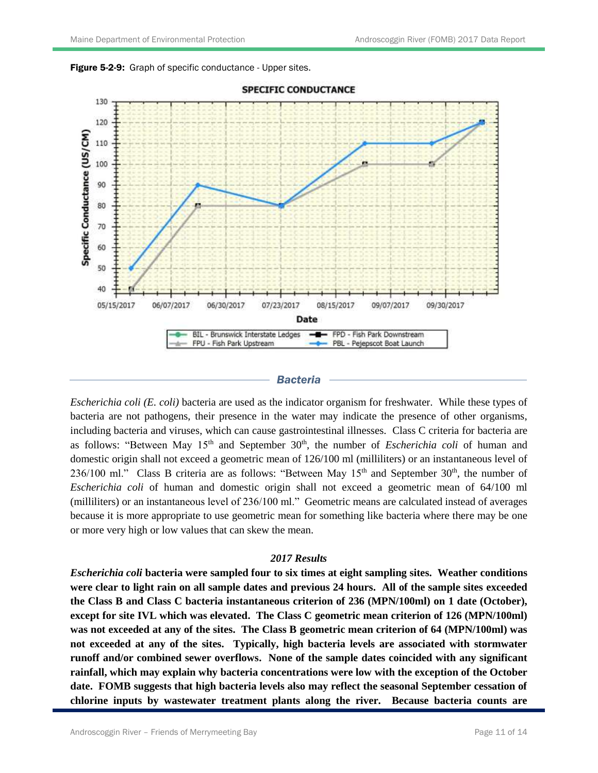



#### *Bacteria*

*Escherichia coli (E. coli)* bacteria are used as the indicator organism for freshwater. While these types of bacteria are not pathogens, their presence in the water may indicate the presence of other organisms, including bacteria and viruses, which can cause gastrointestinal illnesses. Class C criteria for bacteria are as follows: "Between May 15<sup>th</sup> and September 30<sup>th</sup>, the number of *Escherichia coli* of human and domestic origin shall not exceed a geometric mean of 126/100 ml (milliliters) or an instantaneous level of 236/100 ml." Class B criteria are as follows: "Between May  $15<sup>th</sup>$  and September 30<sup>th</sup>, the number of *Escherichia coli* of human and domestic origin shall not exceed a geometric mean of 64/100 ml (milliliters) or an instantaneous level of 236/100 ml." Geometric means are calculated instead of averages because it is more appropriate to use geometric mean for something like bacteria where there may be one or more very high or low values that can skew the mean.

### *2017 Results*

*Escherichia coli* **bacteria were sampled four to six times at eight sampling sites. Weather conditions were clear to light rain on all sample dates and previous 24 hours. All of the sample sites exceeded the Class B and Class C bacteria instantaneous criterion of 236 (MPN/100ml) on 1 date (October), except for site IVL which was elevated. The Class C geometric mean criterion of 126 (MPN/100ml) was not exceeded at any of the sites. The Class B geometric mean criterion of 64 (MPN/100ml) was not exceeded at any of the sites. Typically, high bacteria levels are associated with stormwater runoff and/or combined sewer overflows. None of the sample dates coincided with any significant rainfall, which may explain why bacteria concentrations were low with the exception of the October date. FOMB suggests that high bacteria levels also may reflect the seasonal September cessation of chlorine inputs by wastewater treatment plants along the river. Because bacteria counts are**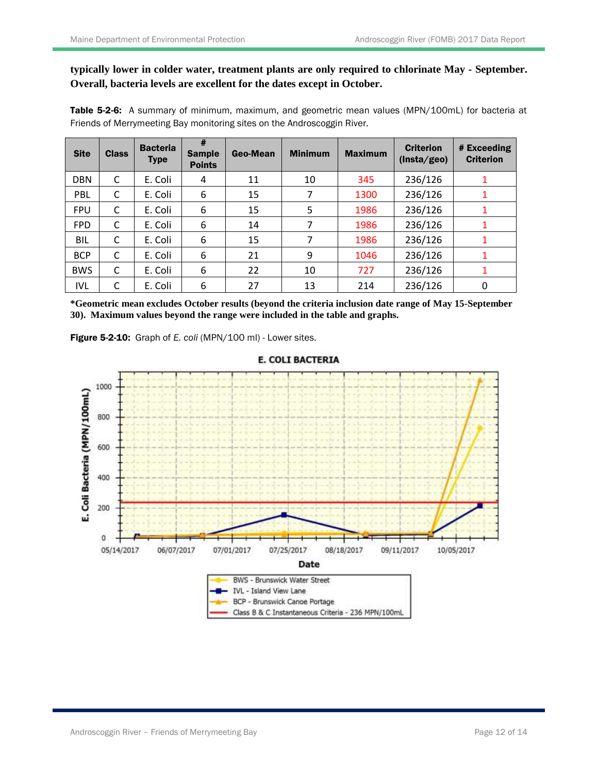## **typically lower in colder water, treatment plants are only required to chlorinate May - September. Overall, bacteria levels are excellent for the dates except in October.**

Table 5-2-6: A summary of minimum, maximum, and geometric mean values (MPN/100mL) for bacteria at Friends of Merrymeeting Bay monitoring sites on the Androscoggin River.

| <b>Site</b> | <b>Class</b> | <b>Bacteria</b><br><b>Type</b> | #<br><b>Sample</b><br><b>Points</b> | Geo-Mean | <b>Minimum</b> | <b>Maximum</b> | <b>Criterion</b><br>(Insta/geo) | # Exceeding<br><b>Criterion</b> |
|-------------|--------------|--------------------------------|-------------------------------------|----------|----------------|----------------|---------------------------------|---------------------------------|
| <b>DBN</b>  | C            | E. Coli                        | 4                                   | 11       | 10             | 345            | 236/126                         | 1                               |
| PBL         | С            | E. Coli                        | 6                                   | 15       | 7              | 1300           | 236/126                         | 1                               |
| <b>FPU</b>  | C            | E. Coli                        | 6                                   | 15       | 5              | 1986           | 236/126                         |                                 |
| <b>FPD</b>  | C            | E. Coli                        | 6                                   | 14       | 7              | 1986           | 236/126                         |                                 |
| BIL         | C            | E. Coli                        | 6                                   | 15       | 7              | 1986           | 236/126                         |                                 |
| <b>BCP</b>  | C            | E. Coli                        | 6                                   | 21       | 9              | 1046           | 236/126                         |                                 |
| <b>BWS</b>  | C            | E. Coli                        | 6                                   | 22       | 10             | 727            | 236/126                         |                                 |
| <b>IVL</b>  | C            | E. Coli                        | 6                                   | 27       | 13             | 214            | 236/126                         | 0                               |

**\*Geometric mean excludes October results (beyond the criteria inclusion date range of May 15-September 30). Maximum values beyond the range were included in the table and graphs.**

Figure 5-2-10: Graph of *E. coli* (MPN/100 ml) - Lower sites.



## **E. COLI BACTERIA**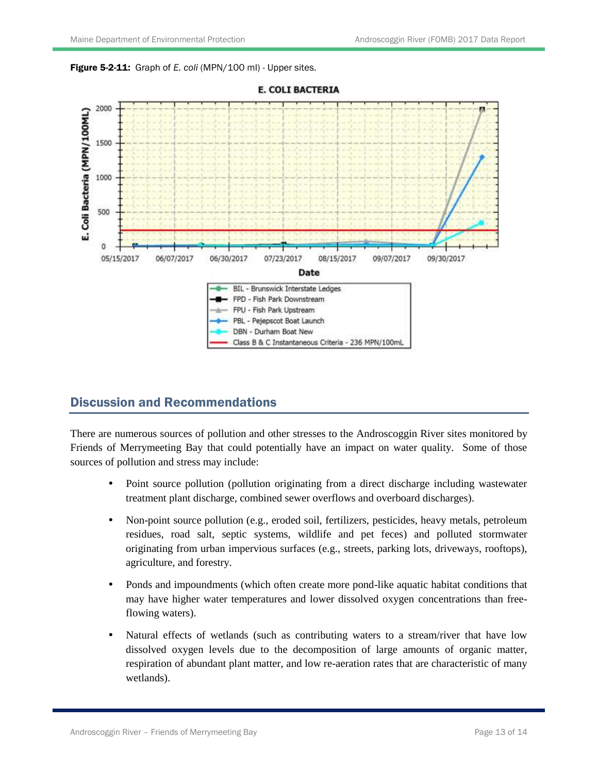Figure 5-2-11: Graph of *E. coli* (MPN/100 ml) - Upper sites.



#### **E. COLI BACTERIA**

## Discussion and Recommendations

There are numerous sources of pollution and other stresses to the Androscoggin River sites monitored by Friends of Merrymeeting Bay that could potentially have an impact on water quality. Some of those sources of pollution and stress may include:

- Point source pollution (pollution originating from a direct discharge including wastewater treatment plant discharge, combined sewer overflows and overboard discharges).
- Non-point source pollution (e.g., eroded soil, fertilizers, pesticides, heavy metals, petroleum residues, road salt, septic systems, wildlife and pet feces) and polluted stormwater originating from urban impervious surfaces (e.g., streets, parking lots, driveways, rooftops), agriculture, and forestry.
- Ponds and impoundments (which often create more pond-like aquatic habitat conditions that may have higher water temperatures and lower dissolved oxygen concentrations than freeflowing waters).
- Natural effects of wetlands (such as contributing waters to a stream/river that have low dissolved oxygen levels due to the decomposition of large amounts of organic matter, respiration of abundant plant matter, and low re-aeration rates that are characteristic of many wetlands).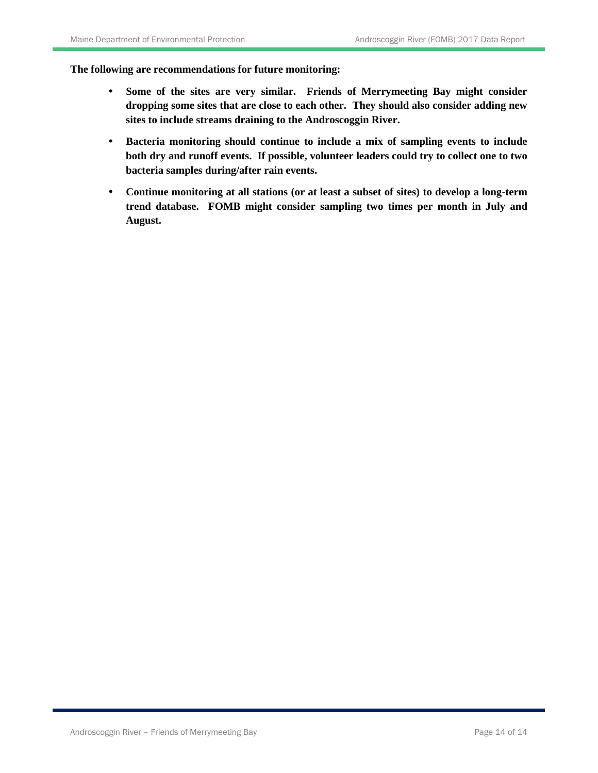**The following are recommendations for future monitoring:**

- **Some of the sites are very similar. Friends of Merrymeeting Bay might consider dropping some sites that are close to each other. They should also consider adding new sites to include streams draining to the Androscoggin River.**
- **Bacteria monitoring should continue to include a mix of sampling events to include both dry and runoff events. If possible, volunteer leaders could try to collect one to two bacteria samples during/after rain events.**
- **Continue monitoring at all stations (or at least a subset of sites) to develop a long-term trend database. FOMB might consider sampling two times per month in July and August.**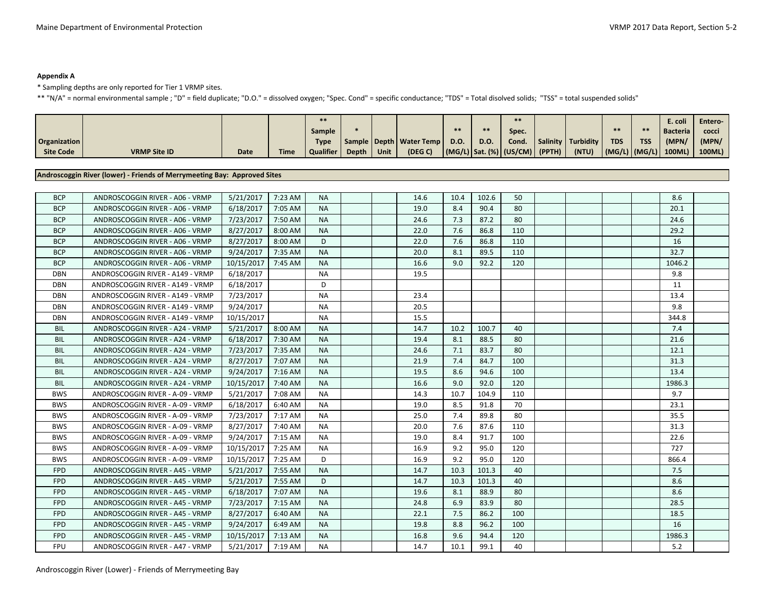#### **Appendix A**

\* Sampling depths are only reported for Tier 1 VRMP sites.

\*\* "N/A" = normal environmental sample ; "D" = field duplicate; "D.O." = dissolved oxygen; "Spec. Cond" = specific conductance; "TDS" = Total disolved solids; "TSS" = total suspended solids"

|              |                     |      |             |               |       |      |                             |      |      | $**$                                       |                    |                                       |            | E. coli         | Entero- |
|--------------|---------------------|------|-------------|---------------|-------|------|-----------------------------|------|------|--------------------------------------------|--------------------|---------------------------------------|------------|-----------------|---------|
|              |                     |      |             | <b>Sample</b> |       |      |                             |      | $*$  | Spec.                                      |                    |                                       |            | <b>Bacteria</b> | cocci   |
| Organization |                     |      |             | <b>Type</b>   |       |      | Sample   Depth   Water Temp | D.O. | D.O. | Cond.                                      | Salinity Turbidity | <b>TDS</b>                            | <b>TSS</b> | (MPN)           | (MPN/   |
| Site Code    | <b>VRMP Site ID</b> | Date | <b>Time</b> | Qualifier     | Depth | Unit | (DEG C)                     |      |      | $ (MG/L) $ Sat. (%) $ (US/CM) $ (PPTH) $ $ | (NTU)              | $\vert$ (MG/L) $\vert$ (MG/L) $\vert$ |            | 100ML)          | 100ML)  |

#### **Androscoggin River (lower) - Friends of Merrymeeting Bay: Approved Sites**

| <b>BCP</b> | ANDROSCOGGIN RIVER - A06 - VRMP  | 5/21/2017  | 7:23 AM | <b>NA</b> |  | 14.6 | 10.4 | 102.6 | 50  |  |  | 8.6    |  |
|------------|----------------------------------|------------|---------|-----------|--|------|------|-------|-----|--|--|--------|--|
| <b>BCP</b> | ANDROSCOGGIN RIVER - A06 - VRMP  | 6/18/2017  | 7:05 AM | <b>NA</b> |  | 19.0 | 8.4  | 90.4  | 80  |  |  | 20.1   |  |
| <b>BCP</b> | ANDROSCOGGIN RIVER - A06 - VRMP  | 7/23/2017  | 7:50 AM | <b>NA</b> |  | 24.6 | 7.3  | 87.2  | 80  |  |  | 24.6   |  |
| <b>BCP</b> | ANDROSCOGGIN RIVER - A06 - VRMP  | 8/27/2017  | 8:00 AM | <b>NA</b> |  | 22.0 | 7.6  | 86.8  | 110 |  |  | 29.2   |  |
| <b>BCP</b> | ANDROSCOGGIN RIVER - A06 - VRMP  | 8/27/2017  | 8:00 AM | D         |  | 22.0 | 7.6  | 86.8  | 110 |  |  | 16     |  |
| <b>BCP</b> | ANDROSCOGGIN RIVER - A06 - VRMP  | 9/24/2017  | 7:35 AM | <b>NA</b> |  | 20.0 | 8.1  | 89.5  | 110 |  |  | 32.7   |  |
| <b>BCP</b> | ANDROSCOGGIN RIVER - A06 - VRMP  | 10/15/2017 | 7:45 AM | <b>NA</b> |  | 16.6 | 9.0  | 92.2  | 120 |  |  | 1046.2 |  |
| <b>DBN</b> | ANDROSCOGGIN RIVER - A149 - VRMP | 6/18/2017  |         | <b>NA</b> |  | 19.5 |      |       |     |  |  | 9.8    |  |
| <b>DBN</b> | ANDROSCOGGIN RIVER - A149 - VRMP | 6/18/2017  |         | D         |  |      |      |       |     |  |  | 11     |  |
| <b>DBN</b> | ANDROSCOGGIN RIVER - A149 - VRMP | 7/23/2017  |         | <b>NA</b> |  | 23.4 |      |       |     |  |  | 13.4   |  |
| <b>DBN</b> | ANDROSCOGGIN RIVER - A149 - VRMP | 9/24/2017  |         | <b>NA</b> |  | 20.5 |      |       |     |  |  | 9.8    |  |
| <b>DBN</b> | ANDROSCOGGIN RIVER - A149 - VRMP | 10/15/2017 |         | <b>NA</b> |  | 15.5 |      |       |     |  |  | 344.8  |  |
| <b>BIL</b> | ANDROSCOGGIN RIVER - A24 - VRMP  | 5/21/2017  | 8:00 AM | <b>NA</b> |  | 14.7 | 10.2 | 100.7 | 40  |  |  | 7.4    |  |
| <b>BIL</b> | ANDROSCOGGIN RIVER - A24 - VRMP  | 6/18/2017  | 7:30 AM | <b>NA</b> |  | 19.4 | 8.1  | 88.5  | 80  |  |  | 21.6   |  |
| <b>BIL</b> | ANDROSCOGGIN RIVER - A24 - VRMP  | 7/23/2017  | 7:35 AM | <b>NA</b> |  | 24.6 | 7.1  | 83.7  | 80  |  |  | 12.1   |  |
| <b>BIL</b> | ANDROSCOGGIN RIVER - A24 - VRMP  | 8/27/2017  | 7:07 AM | <b>NA</b> |  | 21.9 | 7.4  | 84.7  | 100 |  |  | 31.3   |  |
| <b>BIL</b> | ANDROSCOGGIN RIVER - A24 - VRMP  | 9/24/2017  | 7:16 AM | <b>NA</b> |  | 19.5 | 8.6  | 94.6  | 100 |  |  | 13.4   |  |
| <b>BIL</b> | ANDROSCOGGIN RIVER - A24 - VRMP  | 10/15/2017 | 7:40 AM | <b>NA</b> |  | 16.6 | 9.0  | 92.0  | 120 |  |  | 1986.3 |  |
| <b>BWS</b> | ANDROSCOGGIN RIVER - A-09 - VRMP | 5/21/2017  | 7:08 AM | <b>NA</b> |  | 14.3 | 10.7 | 104.9 | 110 |  |  | 9.7    |  |
| <b>BWS</b> | ANDROSCOGGIN RIVER - A-09 - VRMP | 6/18/2017  | 6:40 AM | <b>NA</b> |  | 19.0 | 8.5  | 91.8  | 70  |  |  | 23.1   |  |
| <b>BWS</b> | ANDROSCOGGIN RIVER - A-09 - VRMP | 7/23/2017  | 7:17 AM | <b>NA</b> |  | 25.0 | 7.4  | 89.8  | 80  |  |  | 35.5   |  |
| <b>BWS</b> | ANDROSCOGGIN RIVER - A-09 - VRMP | 8/27/2017  | 7:40 AM | <b>NA</b> |  | 20.0 | 7.6  | 87.6  | 110 |  |  | 31.3   |  |
| <b>BWS</b> | ANDROSCOGGIN RIVER - A-09 - VRMP | 9/24/2017  | 7:15 AM | <b>NA</b> |  | 19.0 | 8.4  | 91.7  | 100 |  |  | 22.6   |  |
| <b>BWS</b> | ANDROSCOGGIN RIVER - A-09 - VRMP | 10/15/2017 | 7:25 AM | <b>NA</b> |  | 16.9 | 9.2  | 95.0  | 120 |  |  | 727    |  |
| <b>BWS</b> | ANDROSCOGGIN RIVER - A-09 - VRMP | 10/15/2017 | 7:25 AM | D         |  | 16.9 | 9.2  | 95.0  | 120 |  |  | 866.4  |  |
| <b>FPD</b> | ANDROSCOGGIN RIVER - A45 - VRMP  | 5/21/2017  | 7:55 AM | <b>NA</b> |  | 14.7 | 10.3 | 101.3 | 40  |  |  | 7.5    |  |
| <b>FPD</b> | ANDROSCOGGIN RIVER - A45 - VRMP  | 5/21/2017  | 7:55 AM | D         |  | 14.7 | 10.3 | 101.3 | 40  |  |  | 8.6    |  |
| <b>FPD</b> | ANDROSCOGGIN RIVER - A45 - VRMP  | 6/18/2017  | 7:07 AM | <b>NA</b> |  | 19.6 | 8.1  | 88.9  | 80  |  |  | 8.6    |  |
| <b>FPD</b> | ANDROSCOGGIN RIVER - A45 - VRMP  | 7/23/2017  | 7:15 AM | <b>NA</b> |  | 24.8 | 6.9  | 83.9  | 80  |  |  | 28.5   |  |
| <b>FPD</b> | ANDROSCOGGIN RIVER - A45 - VRMP  | 8/27/2017  | 6:40 AM | <b>NA</b> |  | 22.1 | 7.5  | 86.2  | 100 |  |  | 18.5   |  |
| <b>FPD</b> | ANDROSCOGGIN RIVER - A45 - VRMP  | 9/24/2017  | 6:49 AM | <b>NA</b> |  | 19.8 | 8.8  | 96.2  | 100 |  |  | 16     |  |
| <b>FPD</b> | ANDROSCOGGIN RIVER - A45 - VRMP  | 10/15/2017 | 7:13 AM | <b>NA</b> |  | 16.8 | 9.6  | 94.4  | 120 |  |  | 1986.3 |  |
| <b>FPU</b> | ANDROSCOGGIN RIVER - A47 - VRMP  | 5/21/2017  | 7:19 AM | <b>NA</b> |  | 14.7 | 10.1 | 99.1  | 40  |  |  | 5.2    |  |